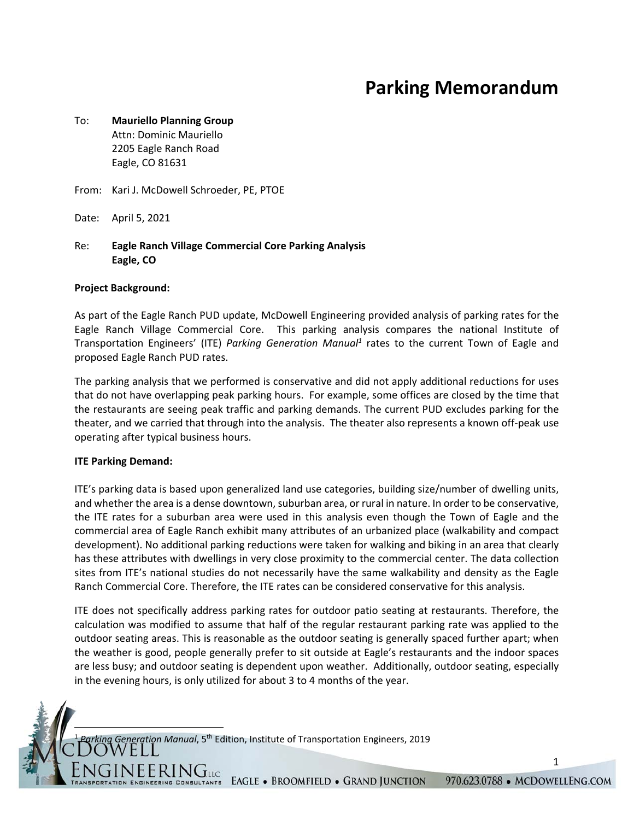# **Parking Memorandum**

## To: **Mauriello Planning Group**  Attn: Dominic Mauriello 2205 Eagle Ranch Road Eagle, CO 81631

From: Kari J. McDowell Schroeder, PE, PTOE

Date: April 5, 2021

## Re: **Eagle Ranch Village Commercial Core Parking Analysis Eagle, CO**

#### **Project Background:**

As part of the Eagle Ranch PUD update, McDowell Engineering provided analysis of parking rates for the Eagle Ranch Village Commercial Core. This parking analysis compares the national Institute of Transportation Engineers' (ITE) Parking Generation Manual<sup>1</sup> rates to the current Town of Eagle and proposed Eagle Ranch PUD rates.

The parking analysis that we performed is conservative and did not apply additional reductions for uses that do not have overlapping peak parking hours. For example, some offices are closed by the time that the restaurants are seeing peak traffic and parking demands. The current PUD excludes parking for the theater, and we carried that through into the analysis. The theater also represents a known off‐peak use operating after typical business hours.

#### **ITE Parking Demand:**

ITE's parking data is based upon generalized land use categories, building size/number of dwelling units, and whether the area is a dense downtown, suburban area, or rural in nature. In order to be conservative, the ITE rates for a suburban area were used in this analysis even though the Town of Eagle and the commercial area of Eagle Ranch exhibit many attributes of an urbanized place (walkability and compact development). No additional parking reductions were taken for walking and biking in an area that clearly has these attributes with dwellings in very close proximity to the commercial center. The data collection sites from ITE's national studies do not necessarily have the same walkability and density as the Eagle Ranch Commercial Core. Therefore, the ITE rates can be considered conservative for this analysis.

ITE does not specifically address parking rates for outdoor patio seating at restaurants. Therefore, the calculation was modified to assume that half of the regular restaurant parking rate was applied to the outdoor seating areas. This is reasonable as the outdoor seating is generally spaced further apart; when the weather is good, people generally prefer to sit outside at Eagle's restaurants and the indoor spaces are less busy; and outdoor seating is dependent upon weather. Additionally, outdoor seating, especially in the evening hours, is only utilized for about 3 to 4 months of the year.

<sup>1</sup> *Parking Generation Manual*, 5th Edition, Institute of Transportation Engineers, 2019

VEERINGLIC

1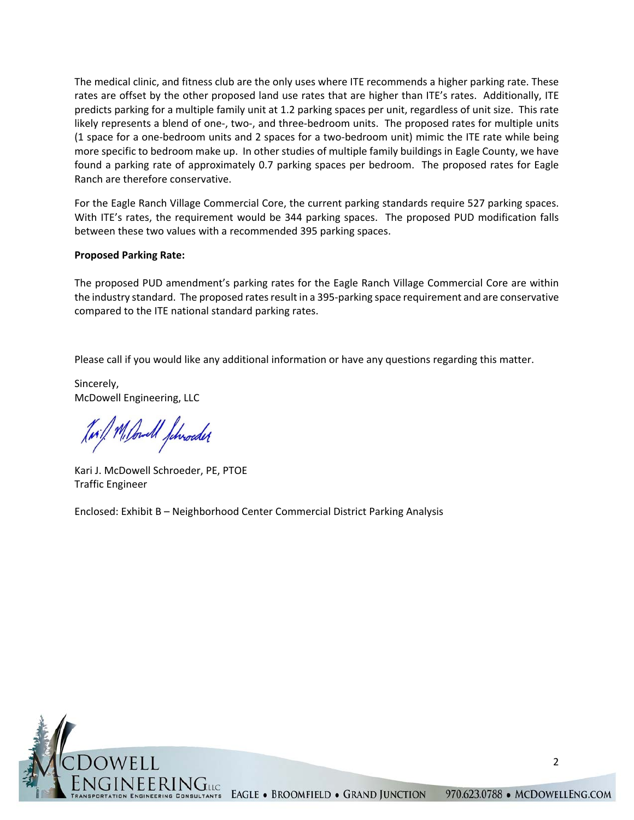The medical clinic, and fitness club are the only uses where ITE recommends a higher parking rate. These rates are offset by the other proposed land use rates that are higher than ITE's rates. Additionally, ITE predicts parking for a multiple family unit at 1.2 parking spaces per unit, regardless of unit size. This rate likely represents a blend of one‐, two‐, and three‐bedroom units. The proposed rates for multiple units (1 space for a one‐bedroom units and 2 spaces for a two‐bedroom unit) mimic the ITE rate while being more specific to bedroom make up. In other studies of multiple family buildings in Eagle County, we have found a parking rate of approximately 0.7 parking spaces per bedroom. The proposed rates for Eagle Ranch are therefore conservative.

For the Eagle Ranch Village Commercial Core, the current parking standards require 527 parking spaces. With ITE's rates, the requirement would be 344 parking spaces. The proposed PUD modification falls between these two values with a recommended 395 parking spaces.

## **Proposed Parking Rate:**

The proposed PUD amendment's parking rates for the Eagle Ranch Village Commercial Core are within the industry standard. The proposed rates result in a 395‐parking space requirement and are conservative compared to the ITE national standard parking rates.

Please call if you would like any additional information or have any questions regarding this matter.

Sincerely, McDowell Engineering, LLC

Juil M. Could Jehroeder

Kari J. McDowell Schroeder, PE, PTOE Traffic Engineer

Enclosed: Exhibit B – Neighborhood Center Commercial District Parking Analysis



2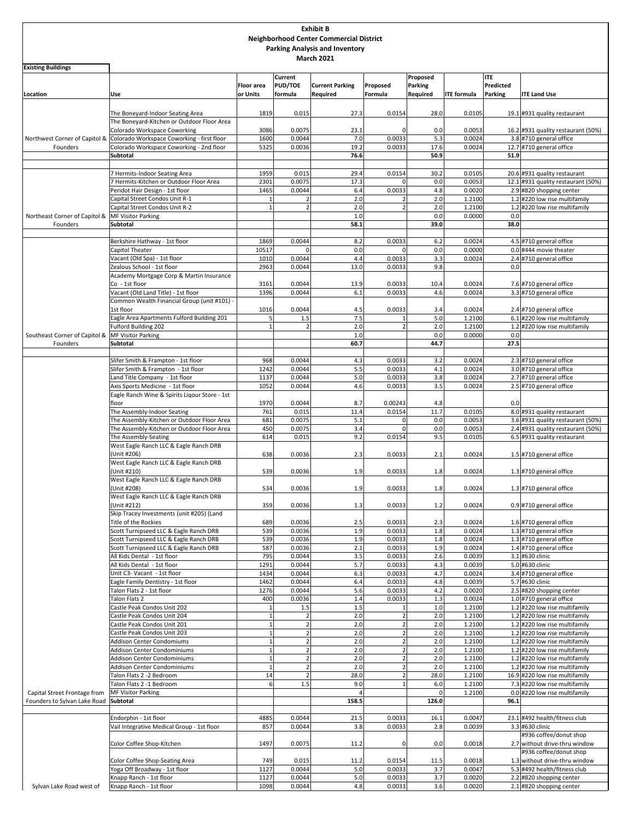| <b>Exhibit B</b>                                           |                                                                                                          |                   |                                  |                                                |                         |                    |                    |             |                                                                |  |
|------------------------------------------------------------|----------------------------------------------------------------------------------------------------------|-------------------|----------------------------------|------------------------------------------------|-------------------------|--------------------|--------------------|-------------|----------------------------------------------------------------|--|
|                                                            |                                                                                                          |                   |                                  | <b>Neighborhood Center Commercial District</b> |                         |                    |                    |             |                                                                |  |
| <b>Parking Analysis and Inventory</b><br><b>March 2021</b> |                                                                                                          |                   |                                  |                                                |                         |                    |                    |             |                                                                |  |
| <b>Existing Buildings</b>                                  |                                                                                                          |                   |                                  |                                                |                         |                    |                    |             |                                                                |  |
|                                                            |                                                                                                          |                   | <b>Current</b>                   |                                                |                         | Proposed           |                    | <b>ITE</b>  |                                                                |  |
|                                                            |                                                                                                          | <b>Floor</b> area | <b>PUD/TOE</b>                   | <b>Current Parking</b>                         | Proposed                | <b>Parking</b>     |                    | Predicted   |                                                                |  |
| Location                                                   | Use                                                                                                      | or Units          | formula                          | Required                                       | Formula                 | Required           | <b>ITE</b> formula | Parking     | <b>ITE Land Use</b>                                            |  |
|                                                            |                                                                                                          |                   |                                  |                                                |                         |                    |                    |             |                                                                |  |
|                                                            | The Boneyard-Indoor Seating Area                                                                         | 1819              | 0.015                            | 27.3                                           | 0.0154                  | 28.0               | 0.0105             |             | 19.1 #931 quality restaurant                                   |  |
|                                                            | The Boneyard-Kitchen or Outdoor Floor Area                                                               |                   |                                  |                                                |                         |                    |                    |             |                                                                |  |
|                                                            | Colorado Workspace Coworking<br>Northwest Corner of Capitol & Colorado Workspace Coworking - first floor | 3086<br>1600      | 0.0075<br>0.0044                 | 23.1<br>7.0                                    | 0.0033                  | 0.0<br>5.3         | 0.0053<br>0.0024   |             | 16.2 #931 quality restaurant (50%)<br>3.8 #710 general office  |  |
| Founders                                                   | Colorado Workspace Coworking - 2nd floor                                                                 | 5325              | 0.0036                           | 19.2                                           | 0.0033                  | 17.6               | 0.0024             |             | 12.7 #710 general office                                       |  |
|                                                            | Subtotal                                                                                                 |                   |                                  | 76.6                                           |                         | 50.9               |                    | 51.9        |                                                                |  |
|                                                            |                                                                                                          |                   |                                  |                                                |                         |                    |                    |             |                                                                |  |
|                                                            | 7 Hermits-Indoor Seating Area                                                                            | 1959              | 0.015                            | 29.4                                           | 0.0154                  | 30.2               | 0.0105             |             | 20.6 #931 quality restaurant                                   |  |
|                                                            | Hermits-Kitchen or Outdoor Floor Area                                                                    | 2301              | 0.0075                           | 17.3                                           |                         | 0.0                | 0.0053             |             | 12.1 #931 quality restaurant (50%)                             |  |
|                                                            | Peridot Hair Design - 1st floor<br>Capital Street Condos Unit R-1                                        | 1465              | 0.0044                           | 6.4<br>2.0                                     | 0.0033                  | 4.8<br>2.0         | 0.0020<br>1.2100   |             | 2.9 #820 shopping center<br>1.2 #220 low rise multifamily      |  |
|                                                            | Capital Street Condos Unit R-2                                                                           |                   | $\overline{2}$                   | 2.0                                            | $\overline{z}$          | 2.0                | 1.2100             |             | 1.2 #220 low rise multifamily                                  |  |
| Northeast Corner of Capitol &                              | <b>MF Visitor Parking</b>                                                                                |                   |                                  | 1.0                                            |                         | 0.0                | 0.0000             | 0.0         |                                                                |  |
| Founders                                                   | Subtotal                                                                                                 |                   |                                  | 58.1                                           |                         | 39.0               |                    | 38.0        |                                                                |  |
|                                                            |                                                                                                          |                   |                                  |                                                |                         |                    |                    |             |                                                                |  |
|                                                            | Berkshire Hathway - 1st floor                                                                            | 1869              | 0.0044                           | 8.2                                            | 0.0033                  | 6.2                | 0.0024             |             | 4.5 #710 general office                                        |  |
|                                                            | Capitol Theater                                                                                          | 10517             | $\mathbf 0$                      | 0.0                                            | $\Omega$                | 0.0                | 0.0000             |             | 0.0 #444 movie theater                                         |  |
|                                                            | Vacant (Old Spa) - 1st floor<br>Zealous School - 1st floor                                               | 1010<br>2963      | 0.0044<br>0.0044                 | 4.4<br>13.0                                    | 0.0033<br>0.0033        | 3.3<br>9.8         | 0.0024             | 0.0         | 2.4 #710 general office                                        |  |
|                                                            | Academy Mortgage Corp & Martin Insurance                                                                 |                   |                                  |                                                |                         |                    |                    |             |                                                                |  |
|                                                            | Co - 1st floor                                                                                           | 3161              | 0.0044                           | 13.9                                           | 0.0033                  | 10.4               | 0.0024             |             | 7.6 #710 general office                                        |  |
|                                                            | Vacant (Old Land Title) - 1st floor                                                                      | 1396              | 0.0044                           | 6.1                                            | 0.0033                  | 4.6                | 0.0024             |             | 3.3 #710 general office                                        |  |
|                                                            | Common Wealth Financial Group (unit #101)                                                                |                   |                                  |                                                |                         |                    |                    |             |                                                                |  |
|                                                            | 1st floor                                                                                                | 1016              | 0.0044                           | 4.5                                            | 0.0033                  | 3.4                | 0.0024             |             | 2.4 #710 general office                                        |  |
|                                                            | Eagle Area Apartments Fulford Building 201                                                               | 5                 | 1.5                              | 7.5                                            |                         | 5.0                | 1.2100             |             | 6.1 #220 low rise multifamily                                  |  |
|                                                            | <b>Fulford Building 202</b>                                                                              |                   | $\overline{2}$                   | 2.0                                            | $\overline{\mathbf{c}}$ | 2.0                | 1.2100             |             | 1.2 #220 low rise multifamily                                  |  |
| Southeast Corner of Capitol &<br>Founders                  | <b>MF Visitor Parking</b><br>Subtotal                                                                    |                   |                                  | 1.0<br>60.7                                    |                         | 0.0<br>44.7        | 0.0000             | 0.0<br>27.5 |                                                                |  |
|                                                            |                                                                                                          |                   |                                  |                                                |                         |                    |                    |             |                                                                |  |
|                                                            | Slifer Smith & Frampton - 1st floor                                                                      | 968               | 0.0044                           | 4.3                                            | 0.0033                  | 3.2                | 0.0024             |             | 2.3 #710 general office                                        |  |
|                                                            | Slifer Smith & Frampton - 1st floor                                                                      | 1242              | 0.0044                           | 5.5                                            | 0.0033                  | 4.1                | 0.0024             |             | 3.0 #710 general office                                        |  |
|                                                            | Land Title Company - 1st floor                                                                           | 1137              | 0.0044                           | 5.0                                            | 0.0033                  | 3.8                | 0.0024             |             | 2.7 #710 general office                                        |  |
|                                                            | Axis Sports Medicine - 1st floor                                                                         | 1052              | 0.0044                           | 4.6                                            | 0.0033                  | 3.5                | 0.0024             |             | 2.5 #710 general office                                        |  |
|                                                            | Eagle Ranch Wine & Spirits Ligour Store - 1st                                                            |                   |                                  |                                                |                         |                    |                    |             |                                                                |  |
|                                                            | floor<br>The Assembly-Indoor Seating                                                                     | 1970<br>761       | 0.0044<br>0.015                  | 8.7<br>11.4                                    | 0.00243<br>0.0154       | 4.8<br>11.7        | 0.0105             | 0.0         | 8.0 #931 quality restaurant                                    |  |
|                                                            | The Assembly-Kitchen or Outdoor Floor Area                                                               | 681               | 0.0075                           | 5.1                                            |                         | 0.0                | 0.0053             |             | 3.6 #931 quality restaurant (50%)                              |  |
|                                                            | The Assembly-Kitchen or Outdoor Floor Area                                                               | 450               | 0.0075                           | 3.4                                            | $\Omega$                | 0.0                | 0.0053             |             | 2.4 #931 quality restaurant (50%)                              |  |
|                                                            | The Assembly-Seating                                                                                     | 614               | 0.015                            | 9.2                                            | 0.0154                  | 9.5                | 0.0105             |             | 6.5 #931 quality restaurant                                    |  |
|                                                            | West Eagle Ranch LLC & Eagle Ranch DRB                                                                   |                   |                                  |                                                |                         |                    |                    |             |                                                                |  |
|                                                            | Unit #206)                                                                                               | 638               | 0.0036                           | 2.3                                            | 0.0033                  | 2.1                | 0.0024             |             | 1.5 #710 general office                                        |  |
|                                                            | West Eagle Ranch LLC & Eagle Ranch DRB                                                                   |                   |                                  |                                                |                         |                    |                    |             |                                                                |  |
|                                                            | (Unit #210)<br>West Eagle Ranch LLC & Eagle Ranch DRB                                                    | 539               | 0.0036                           | 1.9                                            | 0.0033                  | 1.8                | 0.0024             |             | 1.3 #710 general office                                        |  |
|                                                            | (Unit #208)                                                                                              | 534               | 0.0036                           | 1.9                                            | 0.0033                  | 1.8                | 0.0024             |             | 1.3 #710 general office                                        |  |
|                                                            | West Eagle Ranch LLC & Eagle Ranch DRB                                                                   |                   |                                  |                                                |                         |                    |                    |             |                                                                |  |
|                                                            | (Unit #212)                                                                                              | 359               | 0.0036                           | 1.3                                            | 0.0033                  | 1.2                | 0.0024             |             | 0.9 #710 general office                                        |  |
|                                                            | Skip Tracey Investments (unit #205) (Land                                                                |                   |                                  |                                                |                         |                    |                    |             |                                                                |  |
|                                                            | Title of the Rockies                                                                                     | 689               | 0.0036                           | 2.5                                            | 0.0033                  | 2.3                | 0.0024             |             | 1.6 #710 general office                                        |  |
|                                                            | Scott Turnipseed LLC & Eagle Ranch DRB                                                                   | 539               | 0.0036                           | 1.9                                            | 0.0033                  | 1.8                | 0.0024             |             | 1.3 #710 general office<br>1.3 #710 general office             |  |
|                                                            | Scott Turnipseed LLC & Eagle Ranch DRB<br>Scott Turnipseed LLC & Eagle Ranch DRB                         | 539<br>587        | 0.0036<br>0.0036                 | 1.9<br>2.1                                     | 0.0033<br>0.0033        | 1.8<br>1.9         | 0.0024<br>0.0024   |             | 1.4 #710 general office                                        |  |
|                                                            | All Kids Dental - 1st floor                                                                              | 795               | 0.0044                           | 3.5                                            | 0.0033                  | 2.6                | 0.0039             |             | 3.1 #630 clinic                                                |  |
|                                                            | All Kids Dental - 1st floor                                                                              | 1291              | 0.0044                           | 5.7                                            | 0.0033                  | 4.3                | 0.0039             |             | 5.0 #630 clinic                                                |  |
|                                                            | Unit C3- Vacant - 1st floor                                                                              | 1434              | 0.0044                           | 6.3                                            | 0.0033                  | 4.7                | 0.0024             |             | 3.4 #710 general office                                        |  |
|                                                            | Eagle Family Dentistry - 1st floor                                                                       | 1462              | 0.0044                           | 6.4                                            | 0.0033                  | 4.8                | 0.0039             |             | 5.7 #630 clinic                                                |  |
|                                                            | Talon Flats 2 - 1st floor                                                                                | 1276              | 0.0044                           | 5.6                                            | 0.0033                  | 4.2                | 0.0020             |             | 2.5 #820 shopping center                                       |  |
|                                                            | Talon Flats 2                                                                                            | 400               | 0.0036                           | 1.4                                            | 0.0033                  | 1.3                | 0.0024             |             | 1.0 #710 general office                                        |  |
|                                                            | Castle Peak Condos Unit 202                                                                              | -1                | 1.5                              | 1.5<br>2.0                                     | -1                      | 1.0<br>2.0         | 1.2100<br>1.2100   |             | 1.2 #220 low rise multifamily                                  |  |
|                                                            | Castle Peak Condos Unit 204<br>Castle Peak Condos Unit 201                                               | $\mathbf{1}$      | $\overline{2}$<br>$\overline{2}$ | 2.0                                            | $\overline{2}$          | 2.0                | 1.2100             |             | 1.2 #220 low rise multifamily<br>1.2 #220 low rise multifamily |  |
|                                                            | Castle Peak Condos Unit 203                                                                              | $\mathbf{1}$      | $\overline{2}$                   | 2.0                                            | $\overline{2}$          | 2.0                | 1.2100             |             | 1.2 #220 low rise multifamily                                  |  |
|                                                            | Addison Center Condomiums                                                                                | $\mathbf{1}$      | $\overline{2}$                   | 2.0                                            | $\overline{2}$          | 2.0                | 1.2100             |             | 1.2 #220 low rise multifamily                                  |  |
|                                                            | Addison Center Condominiums                                                                              | $\overline{1}$    | $\overline{2}$                   | 2.0                                            | $\overline{2}$          | 2.0                | 1.2100             |             | 1.2 #220 low rise multifamily                                  |  |
|                                                            | Addison Center Condominiums                                                                              | $\mathbf{1}$      | $\overline{2}$                   | 2.0                                            | $\overline{2}$          | 2.0                | 1.2100             |             | 1.2 #220 low rise multifamily                                  |  |
|                                                            | Addison Center Condominiums                                                                              | $\overline{1}$    | $\overline{2}$                   | 2.0                                            | $\overline{2}$          | 2.0                | 1.2100             |             | 1.2 #220 low rise multifamily                                  |  |
|                                                            | Talon Flats 2 -2 Bedroom                                                                                 | 14                | $\overline{2}$                   | 28.0                                           | $\overline{2}$          | 28.0               | 1.2100             |             | 16.9 #220 low rise multifamily                                 |  |
| Capital Street Frontage from                               | Talon Flats 2 -1 Bedroom<br><b>MF Visitor Parking</b>                                                    | 6                 | 1.5                              | 9.0<br>$\overline{4}$                          | $\overline{1}$          | 6.0<br>$\mathbf 0$ | 1.2100<br>1.2100   |             | 7.3 #220 low rise multifamily<br>0.0 #220 low rise multifamily |  |
| Founders to Sylvan Lake Road                               | <b>Subtotal</b>                                                                                          |                   |                                  | 158.5                                          |                         | 126.0              |                    | 96.1        |                                                                |  |
|                                                            |                                                                                                          |                   |                                  |                                                |                         |                    |                    |             |                                                                |  |
|                                                            | Endorphin - 1st floor                                                                                    | 4885              | 0.0044                           | 21.5                                           | 0.0033                  | 16.1               | 0.0047             |             | 23.1 #492 health/fitness club                                  |  |
|                                                            | Vail Integrative Medical Group - 1st floor                                                               | 857               | 0.0044                           | 3.8                                            | 0.0033                  | 2.8                | 0.0039             |             | 3.3 #630 clinic                                                |  |
|                                                            |                                                                                                          |                   |                                  |                                                |                         |                    |                    |             | #936 coffee/donut shop                                         |  |
|                                                            | Color Coffee Shop-Kitchen                                                                                | 1497              | 0.0075                           | 11.2                                           | $\Omega$                | 0.0                | 0.0018             |             | 2.7 without drive-thru window                                  |  |
|                                                            |                                                                                                          |                   | 0.015                            |                                                | 0.0154                  |                    | 0.0018             |             | #936 coffee/donut shop<br>1.3 without drive-thru window        |  |
|                                                            | Color Coffee Shop-Seating Area<br>Yoga Off Broadway - 1st floor                                          | 749<br>1127       | 0.0044                           | 11.2<br>5.0                                    | 0.0033                  | 11.5<br>3.7        | 0.0047             |             | 5.3 #492 health/fitness club                                   |  |
|                                                            | Knapp Ranch - 1st floor                                                                                  | 1127              | 0.0044                           | 5.0                                            | 0.0033                  | 3.7                | 0.0020             |             | 2.2 #820 shopping center                                       |  |
| Sylvan Lake Road west of                                   | Knapp Ranch - 1st floor                                                                                  | 1098              | 0.0044                           | 4.8                                            | 0.0033                  | 3.6                | 0.0020             |             | 2.1 #820 shopping center                                       |  |